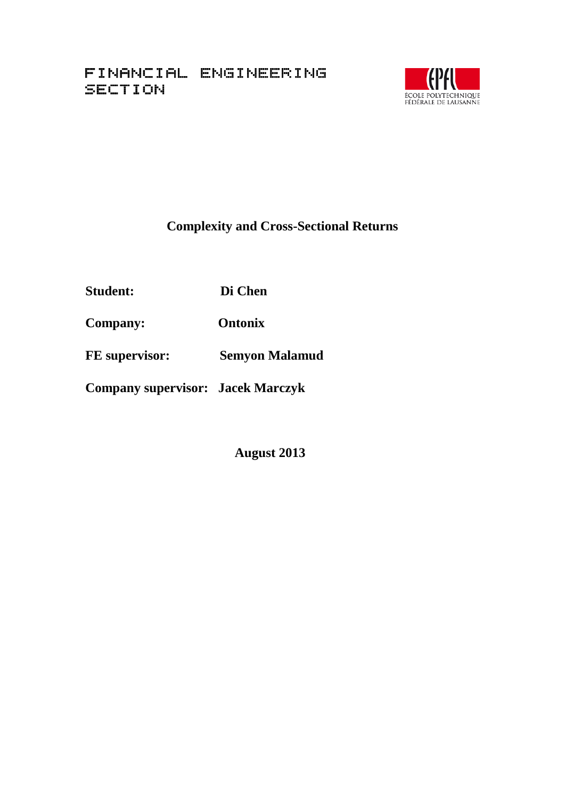

# **Complexity and Cross-Sectional Returns**

**Student: Di Chen**

**Company: Ontonix**

**FE supervisor: Semyon Malamud**

**Company supervisor: Jacek Marczyk**

 **August 2013**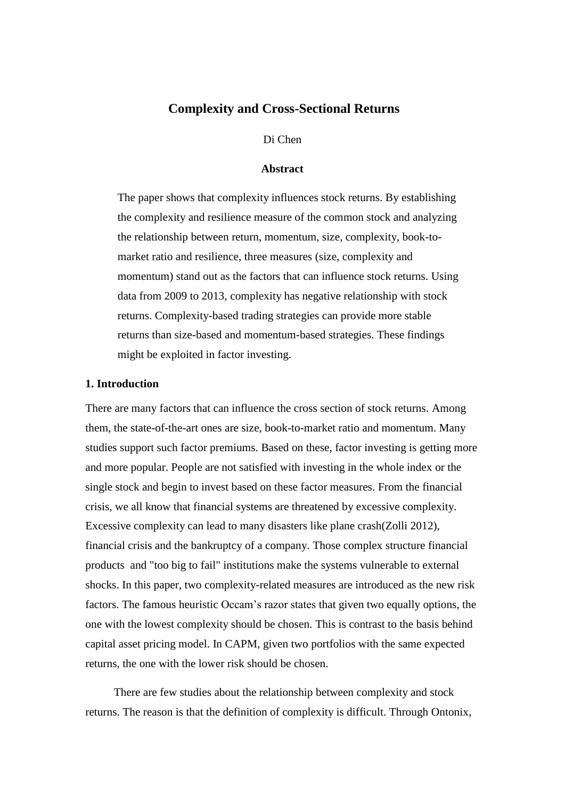# **Complexity and Cross-Sectional Returns**

#### Di Chen

#### **Abstract**

The paper shows that complexity influences stock returns. By establishing the complexity and resilience measure of the common stock and analyzing the relationship between return, momentum, size, complexity, book-tomarket ratio and resilience, three measures (size, complexity and momentum) stand out as the factors that can influence stock returns. Using data from 2009 to 2013, complexity has negative relationship with stock returns. Complexity-based trading strategies can provide more stable returns than size-based and momentum-based strategies. These findings might be exploited in factor investing.

#### **1. Introduction**

There are many factors that can influence the cross section of stock returns. Among them, the state-of-the-art ones are size, book-to-market ratio and momentum. Many studies support such factor premiums. Based on these, factor investing is getting more and more popular. People are not satisfied with investing in the whole index or the single stock and begin to invest based on these factor measures. From the financial crisis, we all know that financial systems are threatened by excessive complexity. Excessive complexity can lead to many disasters like plane crash(Zolli 2012), financial crisis and the bankruptcy of a company. Those complex structure financial products and "too big to fail" institutions make the systems vulnerable to external shocks. In this paper, two complexity-related measures are introduced as the new risk factors. The famous heuristic Occam's razor states that given two equally options, the one with the lowest complexity should be chosen. This is contrast to the basis behind capital asset pricing model. In CAPM, given two portfolios with the same expected returns, the one with the lower risk should be chosen.

 There are few studies about the relationship between complexity and stock returns. The reason is that the definition of complexity is difficult. Through Ontonix,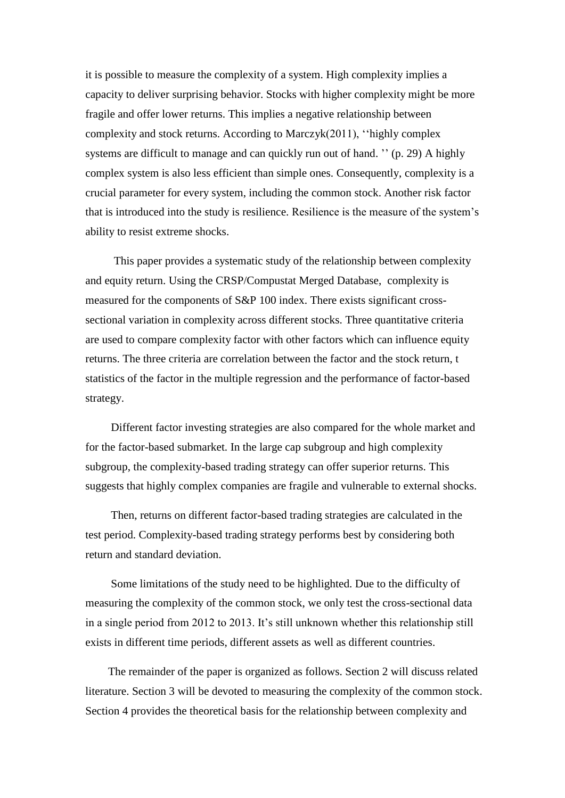it is possible to measure the complexity of a system. High complexity implies a capacity to deliver surprising behavior. Stocks with higher complexity might be more fragile and offer lower returns. This implies a negative relationship between complexity and stock returns. According to Marczyk(2011), ''highly complex systems are difficult to manage and can quickly run out of hand. '' (p. 29) A highly complex system is also less efficient than simple ones. Consequently, complexity is a crucial parameter for every system, including the common stock. Another risk factor that is introduced into the study is resilience. Resilience is the measure of the system's ability to resist extreme shocks.

 This paper provides a systematic study of the relationship between complexity and equity return. Using the CRSP/Compustat Merged Database, complexity is measured for the components of S&P 100 index. There exists significant crosssectional variation in complexity across different stocks. Three quantitative criteria are used to compare complexity factor with other factors which can influence equity returns. The three criteria are correlation between the factor and the stock return, t statistics of the factor in the multiple regression and the performance of factor-based strategy.

 Different factor investing strategies are also compared for the whole market and for the factor-based submarket. In the large cap subgroup and high complexity subgroup, the complexity-based trading strategy can offer superior returns. This suggests that highly complex companies are fragile and vulnerable to external shocks.

 Then, returns on different factor-based trading strategies are calculated in the test period. Complexity-based trading strategy performs best by considering both return and standard deviation.

 Some limitations of the study need to be highlighted. Due to the difficulty of measuring the complexity of the common stock, we only test the cross-sectional data in a single period from 2012 to 2013. It's still unknown whether this relationship still exists in different time periods, different assets as well as different countries.

 The remainder of the paper is organized as follows. Section 2 will discuss related literature. Section 3 will be devoted to measuring the complexity of the common stock. Section 4 provides the theoretical basis for the relationship between complexity and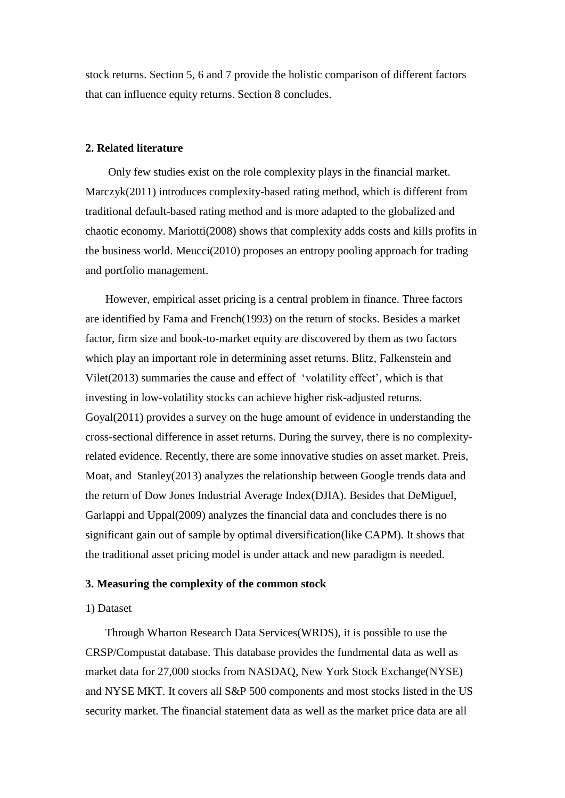stock returns. Section 5, 6 and 7 provide the holistic comparison of different factors that can influence equity returns. Section 8 concludes.

#### **2. Related literature**

 Only few studies exist on the role complexity plays in the financial market. Marczyk(2011) introduces complexity-based rating method, which is different from traditional default-based rating method and is more adapted to the globalized and chaotic economy. Mariotti(2008) shows that complexity adds costs and kills profits in the business world. Meucci(2010) proposes an entropy pooling approach for trading and portfolio management.

 However, empirical asset pricing is a central problem in finance. Three factors are identified by Fama and French(1993) on the return of stocks. Besides a market factor, firm size and book-to-market equity are discovered by them as two factors which play an important role in determining asset returns. Blitz, Falkenstein and Vilet(2013) summaries the cause and effect of 'volatility effect', which is that investing in low-volatility stocks can achieve higher risk-adjusted returns. Goyal(2011) provides a survey on the huge amount of evidence in understanding the cross-sectional difference in asset returns. During the survey, there is no complexityrelated evidence. Recently, there are some innovative studies on asset market. Preis, Moat, and Stanley(2013) analyzes the relationship between Google trends data and the return of Dow Jones Industrial Average Index(DJIA). Besides that DeMiguel, Garlappi and Uppal(2009) analyzes the financial data and concludes there is no significant gain out of sample by optimal diversification(like CAPM). It shows that the traditional asset pricing model is under attack and new paradigm is needed.

#### **3. Measuring the complexity of the common stock**

#### 1) Dataset

 Through Wharton Research Data Services(WRDS), it is possible to use the CRSP/Compustat database. This database provides the fundmental data as well as market data for 27,000 stocks from NASDAQ, New York Stock Exchange(NYSE) and NYSE MKT. It covers all S&P 500 components and most stocks listed in the US security market. The financial statement data as well as the market price data are all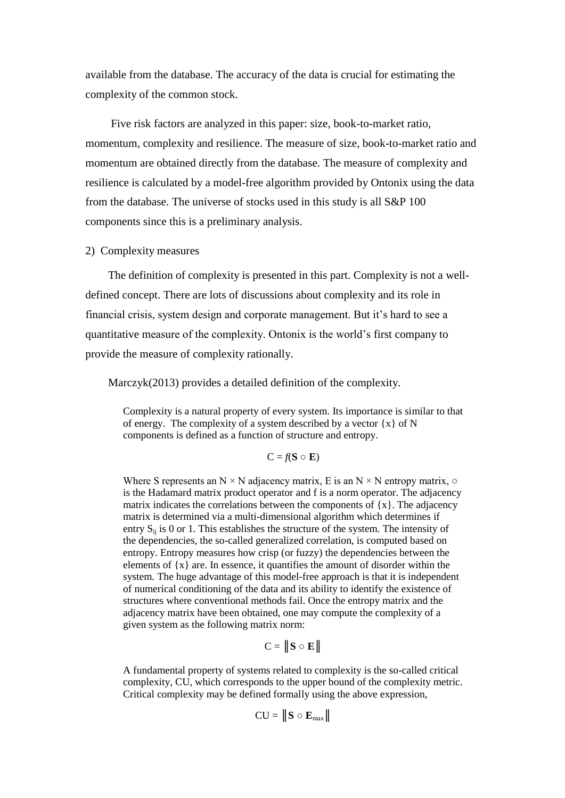available from the database. The accuracy of the data is crucial for estimating the complexity of the common stock.

 Five risk factors are analyzed in this paper: size, book-to-market ratio, momentum, complexity and resilience. The measure of size, book-to-market ratio and momentum are obtained directly from the database. The measure of complexity and resilience is calculated by a model-free algorithm provided by Ontonix using the data from the database. The universe of stocks used in this study is all S&P 100 components since this is a preliminary analysis.

#### 2) Complexity measures

 The definition of complexity is presented in this part. Complexity is not a welldefined concept. There are lots of discussions about complexity and its role in financial crisis, system design and corporate management. But it's hard to see a quantitative measure of the complexity. Ontonix is the world's first company to provide the measure of complexity rationally.

Marczyk(2013) provides a detailed definition of the complexity.

Complexity is a natural property of every system. Its importance is similar to that of energy. The complexity of a system described by a vector  $\{x\}$  of N components is defined as a function of structure and entropy.

$$
C = f(\mathbf{S} \circ \mathbf{E})
$$

Where S represents an  $N \times N$  adjacency matrix, E is an  $N \times N$  entropy matrix,  $\circ$ is the Hadamard matrix product operator and f is a norm operator. The adjacency matrix indicates the correlations between the components of  $\{x\}$ . The adjacency matrix is determined via a multi-dimensional algorithm which determines if entry  $S_{ii}$  is 0 or 1. This establishes the structure of the system. The intensity of the dependencies, the so-called generalized correlation, is computed based on entropy. Entropy measures how crisp (or fuzzy) the dependencies between the elements of  $\{x\}$  are. In essence, it quantifies the amount of disorder within the system. The huge advantage of this model-free approach is that it is independent of numerical conditioning of the data and its ability to identify the existence of structures where conventional methods fail. Once the entropy matrix and the adjacency matrix have been obtained, one may compute the complexity of a given system as the following matrix norm:

$$
C = \|\mathbf{S} \circ \mathbf{E}\|
$$

A fundamental property of systems related to complexity is the so-called critical complexity, CU, which corresponds to the upper bound of the complexity metric. Critical complexity may be defined formally using the above expression,

$$
CU = \|\mathbf{S} \circ \mathbf{E}_{\text{max}}\|
$$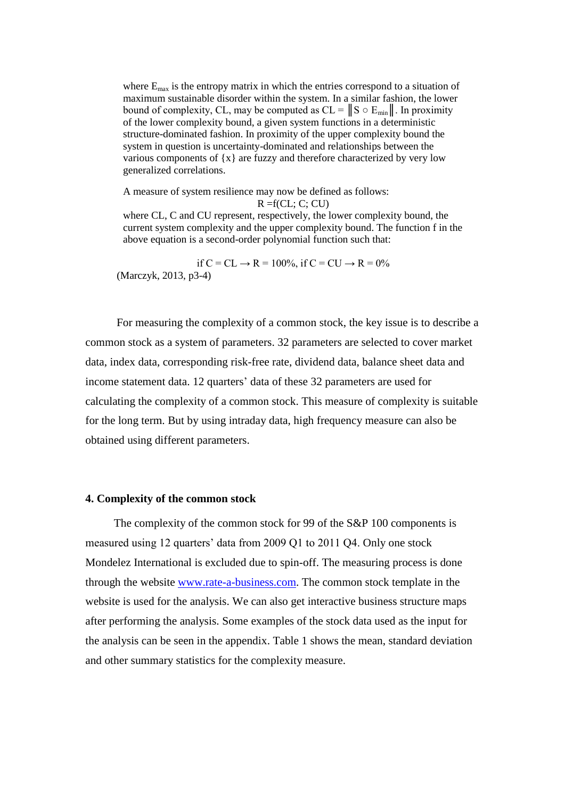where  $E_{\text{max}}$  is the entropy matrix in which the entries correspond to a situation of maximum sustainable disorder within the system. In a similar fashion, the lower bound of complexity, CL, may be computed as  $CL = ||S \circ E_{min}||$ . In proximity of the lower complexity bound, a given system functions in a deterministic structure-dominated fashion. In proximity of the upper complexity bound the system in question is uncertainty-dominated and relationships between the various components of  $\{x\}$  are fuzzy and therefore characterized by very low generalized correlations.

A measure of system resilience may now be defined as follows:

 $R = f(CL; C; CU)$ 

where CL, C and CU represent, respectively, the lower complexity bound, the current system complexity and the upper complexity bound. The function f in the above equation is a second-order polynomial function such that:

if  $C = CL \rightarrow R = 100\%$ , if  $C = CU \rightarrow R = 0\%$ (Marczyk, 2013, p3-4)

 For measuring the complexity of a common stock, the key issue is to describe a common stock as a system of parameters. 32 parameters are selected to cover market data, index data, corresponding risk-free rate, dividend data, balance sheet data and income statement data. 12 quarters' data of these 32 parameters are used for calculating the complexity of a common stock. This measure of complexity is suitable for the long term. But by using intraday data, high frequency measure can also be obtained using different parameters.

#### **4. Complexity of the common stock**

 The complexity of the common stock for 99 of the S&P 100 components is measured using 12 quarters' data from 2009 Q1 to 2011 Q4. Only one stock Mondelez International is excluded due to spin-off. The measuring process is done through the website [www.rate-a-business.com.](http://www.rate-a-business.com/) The common stock template in the website is used for the analysis. We can also get interactive business structure maps after performing the analysis. Some examples of the stock data used as the input for the analysis can be seen in the appendix. Table 1 shows the mean, standard deviation and other summary statistics for the complexity measure.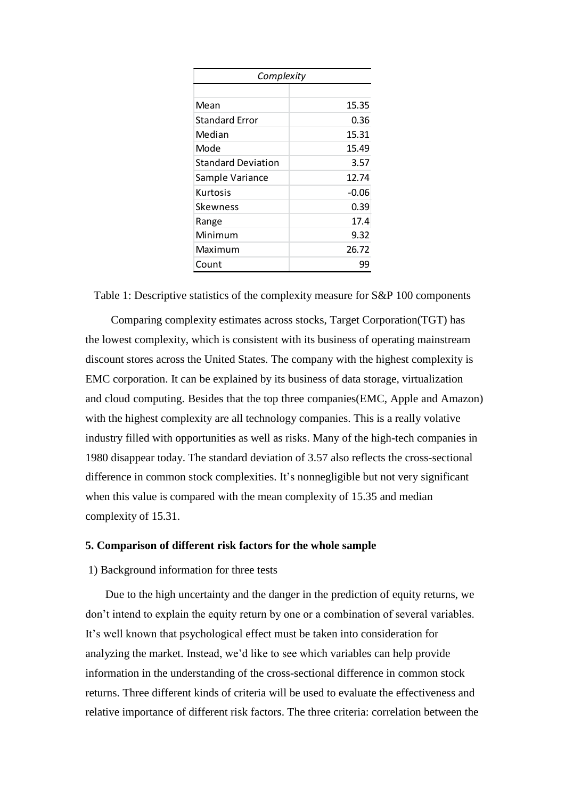| Complexity            |         |  |  |  |  |  |
|-----------------------|---------|--|--|--|--|--|
|                       |         |  |  |  |  |  |
| Mean                  | 15.35   |  |  |  |  |  |
| <b>Standard Error</b> | 0.36    |  |  |  |  |  |
| Median                | 15.31   |  |  |  |  |  |
| Mode                  | 15.49   |  |  |  |  |  |
| Standard Deviation    | 3.57    |  |  |  |  |  |
| Sample Variance       | 12.74   |  |  |  |  |  |
| Kurtosis              | $-0.06$ |  |  |  |  |  |
| Skewness              | 0.39    |  |  |  |  |  |
| Range                 | 17.4    |  |  |  |  |  |
| Minimum               | 9.32    |  |  |  |  |  |
| Maximum               | 26.72   |  |  |  |  |  |
| Count                 | 99      |  |  |  |  |  |

Table 1: Descriptive statistics of the complexity measure for S&P 100 components

 Comparing complexity estimates across stocks, Target Corporation(TGT) has the lowest complexity, which is consistent with its business of operating mainstream discount stores across the United States. The company with the highest complexity is EMC corporation. It can be explained by its business of data storage, virtualization and cloud computing. Besides that the top three companies(EMC, Apple and Amazon) with the highest complexity are all technology companies. This is a really volative industry filled with opportunities as well as risks. Many of the high-tech companies in 1980 disappear today. The standard deviation of 3.57 also reflects the cross-sectional difference in common stock complexities. It's nonnegligible but not very significant when this value is compared with the mean complexity of 15.35 and median complexity of 15.31.

## **5. Comparison of different risk factors for the whole sample**

#### 1) Background information for three tests

 Due to the high uncertainty and the danger in the prediction of equity returns, we don't intend to explain the equity return by one or a combination of several variables. It's well known that psychological effect must be taken into consideration for analyzing the market. Instead, we'd like to see which variables can help provide information in the understanding of the cross-sectional difference in common stock returns. Three different kinds of criteria will be used to evaluate the effectiveness and relative importance of different risk factors. The three criteria: correlation between the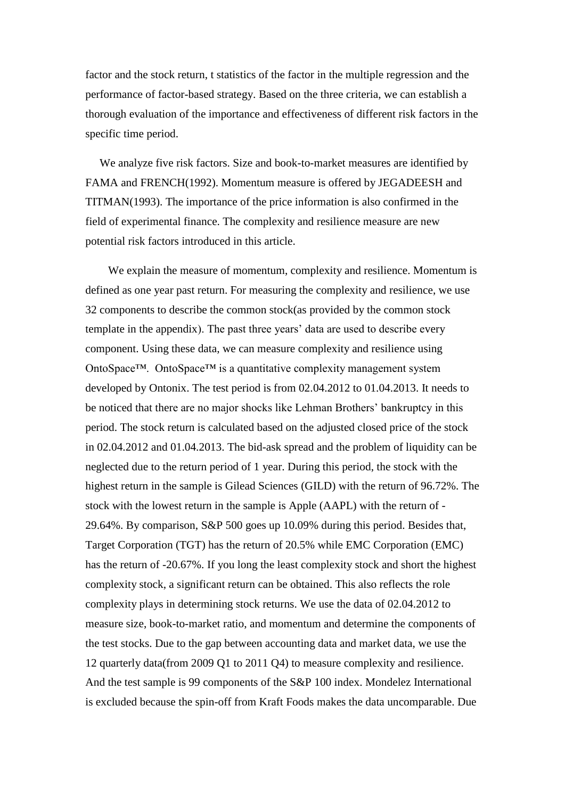factor and the stock return, t statistics of the factor in the multiple regression and the performance of factor-based strategy. Based on the three criteria, we can establish a thorough evaluation of the importance and effectiveness of different risk factors in the specific time period.

 We analyze five risk factors. Size and book-to-market measures are identified by FAMA and FRENCH(1992). Momentum measure is offered by JEGADEESH and TITMAN(1993). The importance of the price information is also confirmed in the field of experimental finance. The complexity and resilience measure are new potential risk factors introduced in this article.

 We explain the measure of momentum, complexity and resilience. Momentum is defined as one year past return. For measuring the complexity and resilience, we use 32 components to describe the common stock(as provided by the common stock template in the appendix). The past three years' data are used to describe every component. Using these data, we can measure complexity and resilience using OntoSpace™. OntoSpace™ is a quantitative complexity management system developed by Ontonix. The test period is from 02.04.2012 to 01.04.2013. It needs to be noticed that there are no major shocks like Lehman Brothers' bankruptcy in this period. The stock return is calculated based on the adjusted closed price of the stock in 02.04.2012 and 01.04.2013. The bid-ask spread and the problem of liquidity can be neglected due to the return period of 1 year. During this period, the stock with the highest return in the sample is Gilead Sciences (GILD) with the return of 96.72%. The stock with the lowest return in the sample is Apple (AAPL) with the return of - 29.64%. By comparison, S&P 500 goes up 10.09% during this period. Besides that, Target Corporation (TGT) has the return of 20.5% while EMC Corporation (EMC) has the return of -20.67%. If you long the least complexity stock and short the highest complexity stock, a significant return can be obtained. This also reflects the role complexity plays in determining stock returns. We use the data of 02.04.2012 to measure size, book-to-market ratio, and momentum and determine the components of the test stocks. Due to the gap between accounting data and market data, we use the 12 quarterly data(from 2009 Q1 to 2011 Q4) to measure complexity and resilience. And the test sample is 99 components of the S&P 100 index. Mondelez International is excluded because the spin-off from Kraft Foods makes the data uncomparable. Due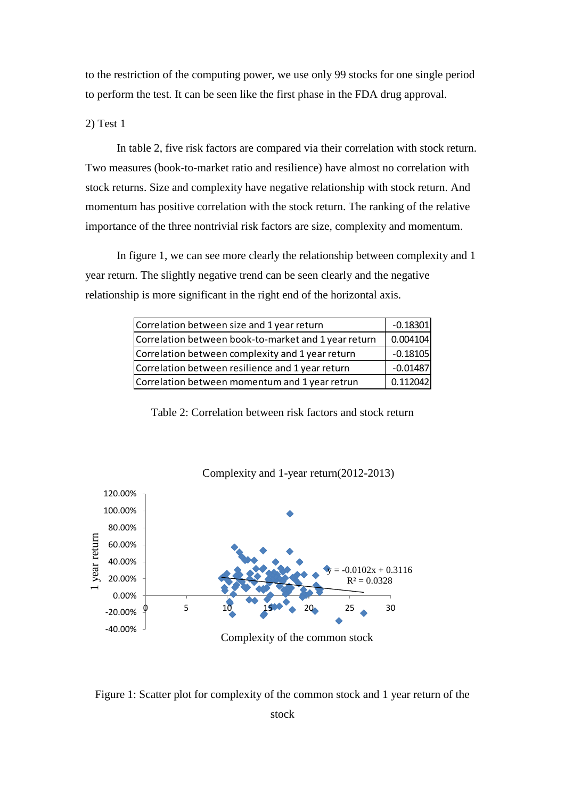to the restriction of the computing power, we use only 99 stocks for one single period to perform the test. It can be seen like the first phase in the FDA drug approval.

2) Test 1

 In table 2, five risk factors are compared via their correlation with stock return. Two measures (book-to-market ratio and resilience) have almost no correlation with stock returns. Size and complexity have negative relationship with stock return. And momentum has positive correlation with the stock return. The ranking of the relative importance of the three nontrivial risk factors are size, complexity and momentum.

 In figure 1, we can see more clearly the relationship between complexity and 1 year return. The slightly negative trend can be seen clearly and the negative relationship is more significant in the right end of the horizontal axis.

| Correlation between size and 1 year return           |            |  |  |  |
|------------------------------------------------------|------------|--|--|--|
| Correlation between book-to-market and 1 year return | 0.004104   |  |  |  |
| Correlation between complexity and 1 year return     | $-0.18105$ |  |  |  |
| Correlation between resilience and 1 year return     | $-0.01487$ |  |  |  |
| Correlation between momentum and 1 year retrun       | 0.112042   |  |  |  |

Table 2: Correlation between risk factors and stock return



Figure 1: Scatter plot for complexity of the common stock and 1 year return of the

stock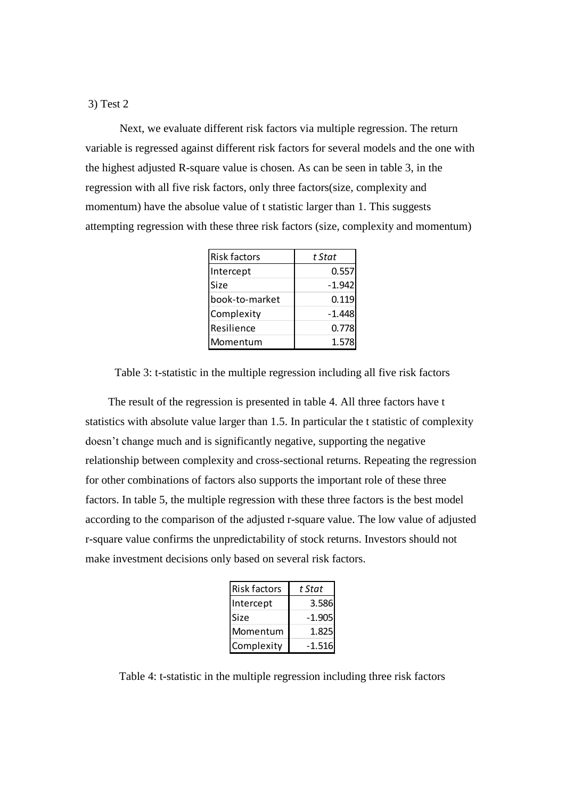#### 3) Test 2

 Next, we evaluate different risk factors via multiple regression. The return variable is regressed against different risk factors for several models and the one with the highest adjusted R-square value is chosen. As can be seen in table 3, in the regression with all five risk factors, only three factors(size, complexity and momentum) have the absolue value of t statistic larger than 1. This suggests attempting regression with these three risk factors (size, complexity and momentum)

| <b>Risk factors</b> | t Stat   |
|---------------------|----------|
| Intercept           | 0.557    |
| <b>Size</b>         | $-1.942$ |
| book-to-market      | 0.119    |
| Complexity          | $-1.448$ |
| Resilience          | 0.778    |
| Momentum            | 1.578    |

Table 3: t-statistic in the multiple regression including all five risk factors

 The result of the regression is presented in table 4. All three factors have t statistics with absolute value larger than 1.5. In particular the t statistic of complexity doesn't change much and is significantly negative, supporting the negative relationship between complexity and cross-sectional returns. Repeating the regression for other combinations of factors also supports the important role of these three factors. In table 5, the multiple regression with these three factors is the best model according to the comparison of the adjusted r-square value. The low value of adjusted r-square value confirms the unpredictability of stock returns. Investors should not make investment decisions only based on several risk factors.

| <b>Risk factors</b> | t Stat   |
|---------------------|----------|
| Intercept           | 3.586    |
| Size                | $-1.905$ |
| Momentum            | 1.825    |
| Complexity          | -1.516   |

Table 4: t-statistic in the multiple regression including three risk factors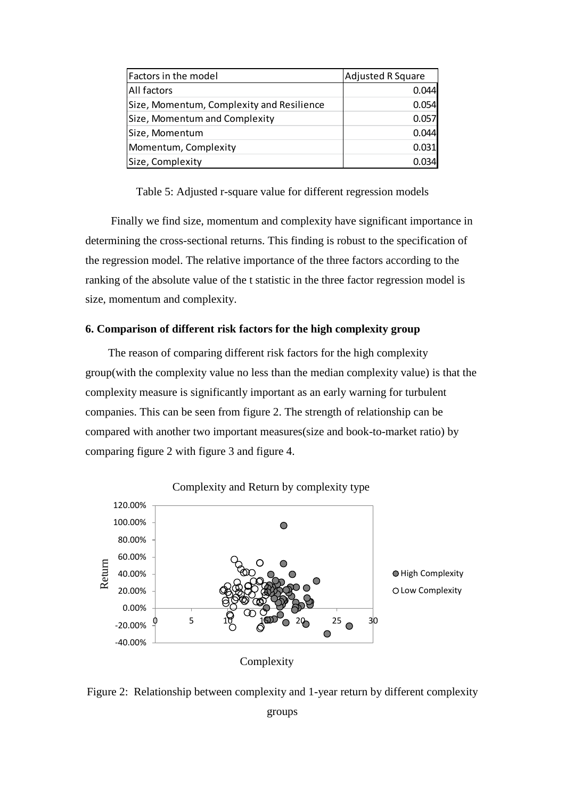| Factors in the model                      | Adjusted R Square |
|-------------------------------------------|-------------------|
| <b>All factors</b>                        | 0.044             |
| Size, Momentum, Complexity and Resilience | 0.054             |
| Size, Momentum and Complexity             | 0.057             |
| Size, Momentum                            | 0.044             |
| Momentum, Complexity                      | 0.031             |
| Size, Complexity                          |                   |

Table 5: Adjusted r-square value for different regression models

 Finally we find size, momentum and complexity have significant importance in determining the cross-sectional returns. This finding is robust to the specification of the regression model. The relative importance of the three factors according to the ranking of the absolute value of the t statistic in the three factor regression model is size, momentum and complexity.

## **6. Comparison of different risk factors for the high complexity group**

 The reason of comparing different risk factors for the high complexity group(with the complexity value no less than the median complexity value) is that the complexity measure is significantly important as an early warning for turbulent companies. This can be seen from figure 2. The strength of relationship can be compared with another two important measures(size and book-to-market ratio) by comparing figure 2 with figure 3 and figure 4.



### Complexity and Return by complexity type

Complexity



groups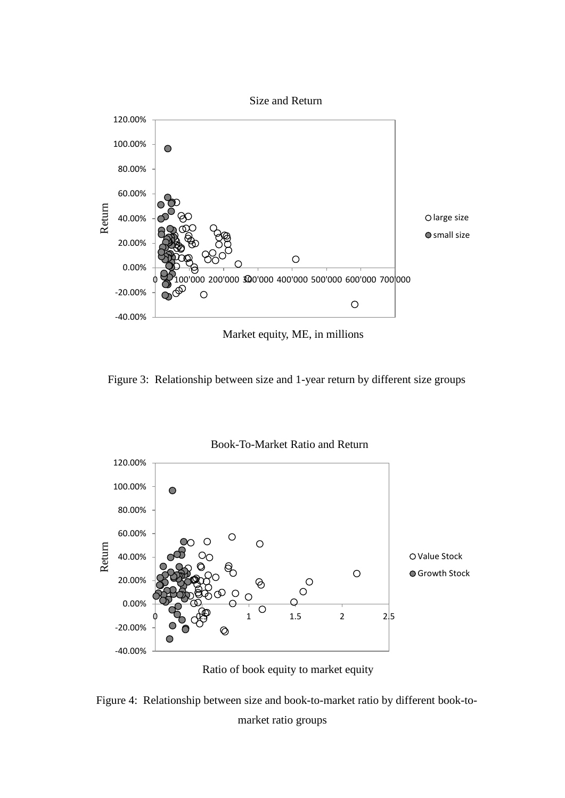

Figure 3: Relationship between size and 1-year return by different size groups



Ratio of book equity to market equity

 Figure 4: Relationship between size and book-to-market ratio by different book-tomarket ratio groups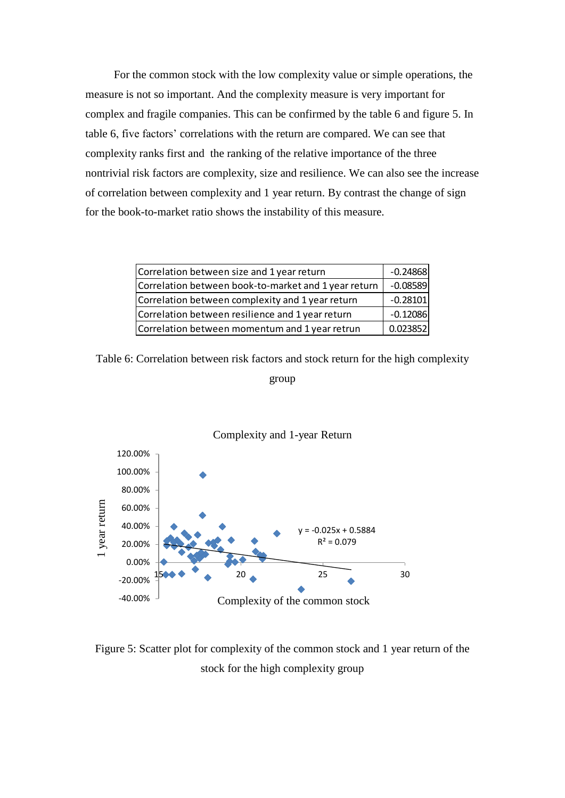For the common stock with the low complexity value or simple operations, the measure is not so important. And the complexity measure is very important for complex and fragile companies. This can be confirmed by the table 6 and figure 5. In table 6, five factors' correlations with the return are compared. We can see that complexity ranks first and the ranking of the relative importance of the three nontrivial risk factors are complexity, size and resilience. We can also see the increase of correlation between complexity and 1 year return. By contrast the change of sign for the book-to-market ratio shows the instability of this measure.

| Correlation between size and 1 year return           |            |  |  |  |
|------------------------------------------------------|------------|--|--|--|
| Correlation between book-to-market and 1 year return | $-0.08589$ |  |  |  |
| Correlation between complexity and 1 year return     | $-0.28101$ |  |  |  |
| Correlation between resilience and 1 year return     | $-0.12086$ |  |  |  |
| Correlation between momentum and 1 year retrun       | 0.023852   |  |  |  |

Table 6: Correlation between risk factors and stock return for the high complexity

group



Figure 5: Scatter plot for complexity of the common stock and 1 year return of the stock for the high complexity group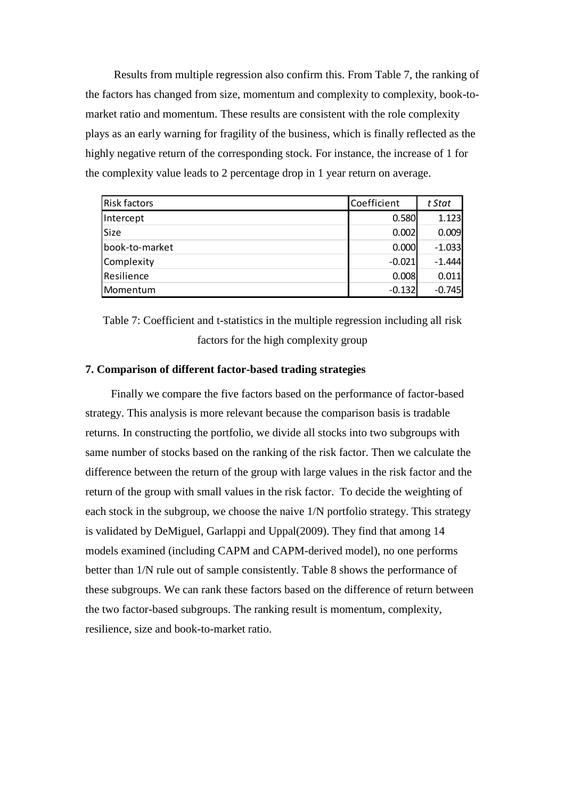Results from multiple regression also confirm this. From Table 7, the ranking of the factors has changed from size, momentum and complexity to complexity, book-tomarket ratio and momentum. These results are consistent with the role complexity plays as an early warning for fragility of the business, which is finally reflected as the highly negative return of the corresponding stock. For instance, the increase of 1 for the complexity value leads to 2 percentage drop in 1 year return on average.

| <b>Risk factors</b> | Coefficient | t Stat   |
|---------------------|-------------|----------|
| Intercept           | 0.580       | 1.123    |
| Size                | 0.002       | 0.009    |
| book-to-market      | 0.000       | $-1.033$ |
| Complexity          | $-0.021$    | $-1.444$ |
| Resilience          | 0.008       | 0.011    |
| Momentum            | $-0.132$    | $-0.745$ |

Table 7: Coefficient and t-statistics in the multiple regression including all risk factors for the high complexity group

# **7. Comparison of different factor-based trading strategies**

 Finally we compare the five factors based on the performance of factor-based strategy. This analysis is more relevant because the comparison basis is tradable returns. In constructing the portfolio, we divide all stocks into two subgroups with same number of stocks based on the ranking of the risk factor. Then we calculate the difference between the return of the group with large values in the risk factor and the return of the group with small values in the risk factor. To decide the weighting of each stock in the subgroup, we choose the naive 1/N portfolio strategy. This strategy is validated by DeMiguel, Garlappi and Uppal(2009). They find that among 14 models examined (including CAPM and CAPM-derived model), no one performs better than 1/N rule out of sample consistently. Table 8 shows the performance of these subgroups. We can rank these factors based on the difference of return between the two factor-based subgroups. The ranking result is momentum, complexity, resilience, size and book-to-market ratio.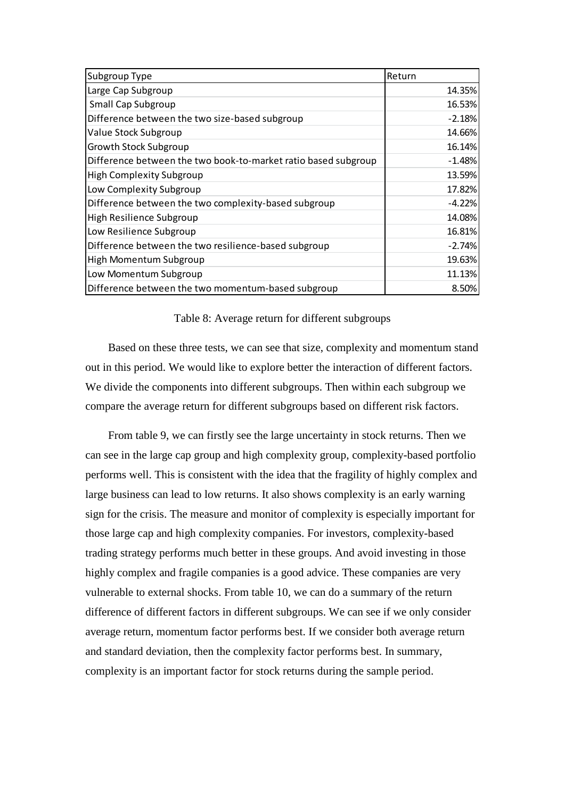| Subgroup Type                                                  | Return   |
|----------------------------------------------------------------|----------|
| Large Cap Subgroup                                             | 14.35%   |
| <b>Small Cap Subgroup</b>                                      | 16.53%   |
| Difference between the two size-based subgroup                 | $-2.18%$ |
| Value Stock Subgroup                                           | 14.66%   |
| <b>Growth Stock Subgroup</b>                                   | 16.14%   |
| Difference between the two book-to-market ratio based subgroup | $-1.48%$ |
| High Complexity Subgroup                                       | 13.59%   |
| Low Complexity Subgroup                                        | 17.82%   |
| Difference between the two complexity-based subgroup           | $-4.22%$ |
| High Resilience Subgroup                                       | 14.08%   |
| Low Resilience Subgroup                                        | 16.81%   |
| Difference between the two resilience-based subgroup           | $-2.74%$ |
| High Momentum Subgroup                                         | 19.63%   |
| Low Momentum Subgroup                                          | 11.13%   |
| Difference between the two momentum-based subgroup             | 8.50%    |

#### Table 8: Average return for different subgroups

 Based on these three tests, we can see that size, complexity and momentum stand out in this period. We would like to explore better the interaction of different factors. We divide the components into different subgroups. Then within each subgroup we compare the average return for different subgroups based on different risk factors.

 From table 9, we can firstly see the large uncertainty in stock returns. Then we can see in the large cap group and high complexity group, complexity-based portfolio performs well. This is consistent with the idea that the fragility of highly complex and large business can lead to low returns. It also shows complexity is an early warning sign for the crisis. The measure and monitor of complexity is especially important for those large cap and high complexity companies. For investors, complexity-based trading strategy performs much better in these groups. And avoid investing in those highly complex and fragile companies is a good advice. These companies are very vulnerable to external shocks. From table 10, we can do a summary of the return difference of different factors in different subgroups. We can see if we only consider average return, momentum factor performs best. If we consider both average return and standard deviation, then the complexity factor performs best. In summary, complexity is an important factor for stock returns during the sample period.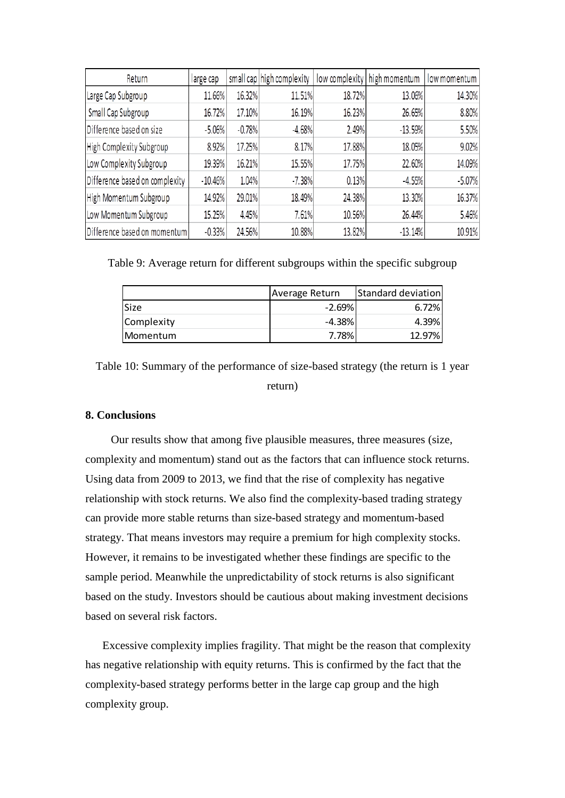| Return                         | large cap |          | small cap high complexity |        | low complexity   high momentum | low momentum |
|--------------------------------|-----------|----------|---------------------------|--------|--------------------------------|--------------|
| Large Cap Subgroup             | 11.66%    | 16.32%   | 11.51%                    | 18.72% | 13.06%                         | 14.30%       |
| Small Cap Subgroup             | 16.72%    | 17.10%   | 16.19%                    | 16.23% | 26.65%                         | 8.80%        |
| Difference based on size       | $-5.06%$  | $-0.78%$ | $-4.68%$                  | 2.49%  | $-13.59%$                      | 5.50%        |
| High Complexity Subgroup       | 8.92%     | 17.25%   | 8.17%                     | 17.88% | 18.05%                         | 9.02%        |
| Low Complexity Subgroup        | 19.39%    | 16.21%   | 15.55%                    | 17.75% | 22.60%                         | 14.09%       |
| Difference based on complexity | $-10.46%$ | 1.04%    | $-7.38%$                  | 0.13%  | $-4.55%$                       | $-5.07%$     |
| High Momentum Subgroup         | 14.92%    | 29.01%   | 18.49%                    | 24.38% | 13.30%                         | 16.37%       |
| Low Momentum Subgroup          | 15.25%    | 4.45%    | 7.61%                     | 10.56% | 26.44%                         | 5.46%        |
| Difference based on momentum   | $-0.33%$  | 24.56%   | 10.88%                    | 13.82% | $-13.14%$                      | 10.91%       |

Table 9: Average return for different subgroups within the specific subgroup

|                  | Average Return | Standard deviation |
|------------------|----------------|--------------------|
| <b>Size</b>      | $-2.69\%$      | 6.72%              |
| Complexity       | $-4.38\%$      | 4.39%              |
| <b>IMomentum</b> | 7.78%          | 12.97%             |

Table 10: Summary of the performance of size-based strategy (the return is 1 year return)

#### **8. Conclusions**

 Our results show that among five plausible measures, three measures (size, complexity and momentum) stand out as the factors that can influence stock returns. Using data from 2009 to 2013, we find that the rise of complexity has negative relationship with stock returns. We also find the complexity-based trading strategy can provide more stable returns than size-based strategy and momentum-based strategy. That means investors may require a premium for high complexity stocks. However, it remains to be investigated whether these findings are specific to the sample period. Meanwhile the unpredictability of stock returns is also significant based on the study. Investors should be cautious about making investment decisions based on several risk factors.

 Excessive complexity implies fragility. That might be the reason that complexity has negative relationship with equity returns. This is confirmed by the fact that the complexity-based strategy performs better in the large cap group and the high complexity group.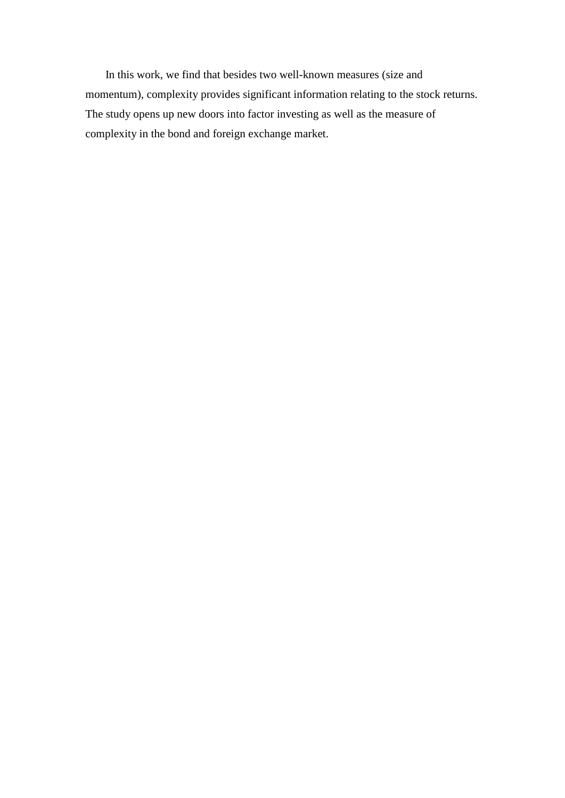In this work, we find that besides two well-known measures (size and momentum), complexity provides significant information relating to the stock returns. The study opens up new doors into factor investing as well as the measure of complexity in the bond and foreign exchange market.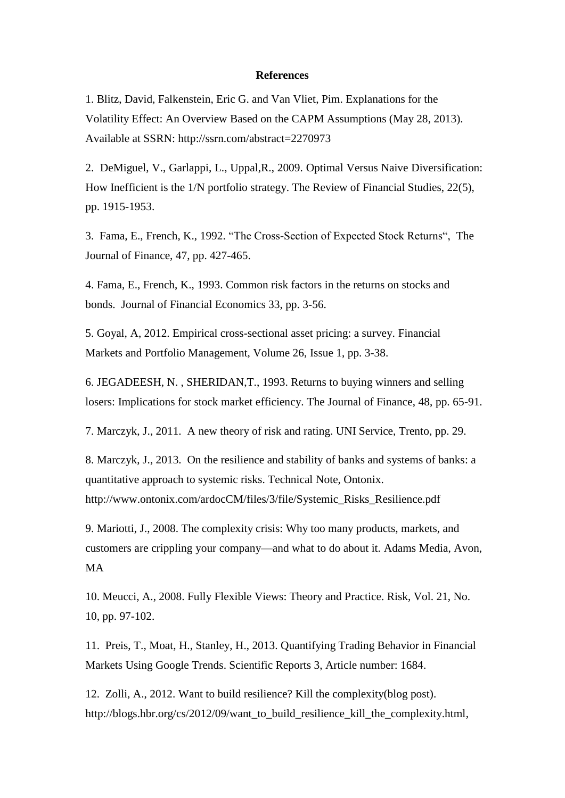#### **References**

1. Blitz, David, Falkenstein, Eric G. and Van Vliet, Pim. Explanations for the Volatility Effect: An Overview Based on the CAPM Assumptions (May 28, 2013). Available at SSRN: http://ssrn.com/abstract=2270973

2. DeMiguel, V., Garlappi, L., Uppal,R., 2009. Optimal Versus Naive Diversification: How Inefficient is the 1/N portfolio strategy. The Review of Financial Studies, 22(5), pp. 1915-1953.

3. Fama, E., French, K., 1992. "The Cross-Section of Expected Stock Returns", The Journal of Finance, 47, pp. 427-465.

4. Fama, E., French, K., 1993. Common risk factors in the returns on stocks and bonds. Journal of Financial Economics 33, pp. 3-56.

5. Goyal, A, 2012. Empirical cross-sectional asset pricing: a survey. Financial Markets and Portfolio Management, Volume 26, Issue 1, pp. 3-38.

6. JEGADEESH, N. , SHERIDAN,T., 1993. Returns to buying winners and selling losers: Implications for stock market efficiency. The Journal of Finance, 48, pp. 65-91.

7. Marczyk, J., 2011. A new theory of risk and rating. UNI Service, Trento, pp. 29.

8. Marczyk, J., 2013. On the resilience and stability of banks and systems of banks: a quantitative approach to systemic risks. Technical Note, Ontonix. http://www.ontonix.com/ardocCM/files/3/file/Systemic\_Risks\_Resilience.pdf

9. Mariotti, J., 2008. The complexity crisis: Why too many products, markets, and customers are crippling your company—and what to do about it. Adams Media, Avon, MA

10. Meucci, A., 2008. Fully Flexible Views: Theory and Practice. Risk, Vol. 21, No. 10, pp. 97-102.

11. Preis, T., Moat, H., Stanley, H., 2013. Quantifying Trading Behavior in Financial Markets Using Google Trends. Scientific Reports 3, Article number: 1684.

12. Zolli, A., 2012. Want to build resilience? Kill the complexity(blog post). http://blogs.hbr.org/cs/2012/09/want\_to\_build\_resilience\_kill\_the\_complexity.html,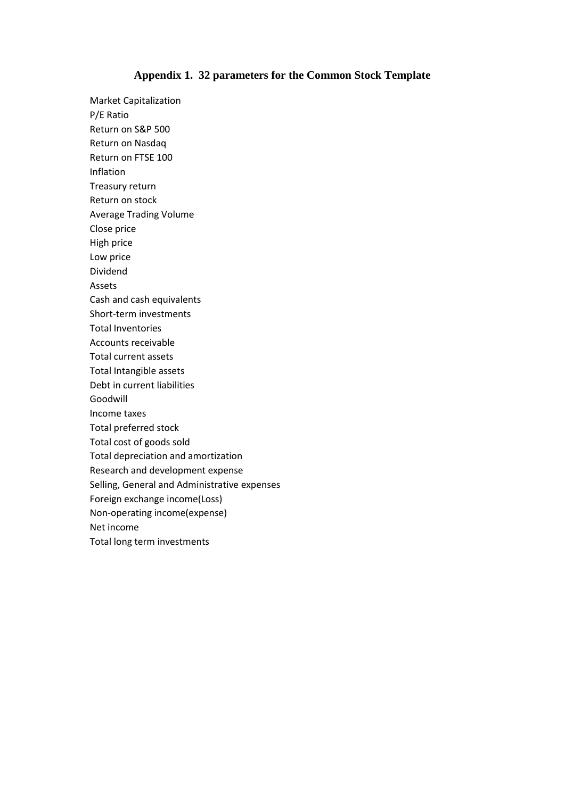#### **Appendix 1. 32 parameters for the Common Stock Template**

Market Capitalization P/E Ratio Return on S&P 500 Return on Nasdaq Return on FTSE 100 Inflation Treasury return Return on stock Average Trading Volume Close price High price Low price Dividend Assets Cash and cash equivalents Short-term investments Total Inventories Accounts receivable Total current assets Total Intangible assets Debt in current liabilities Goodwill Income taxes Total preferred stock Total cost of goods sold Total depreciation and amortization Research and development expense Selling, General and Administrative expenses Foreign exchange income(Loss) Non-operating income(expense) Net income Total long term investments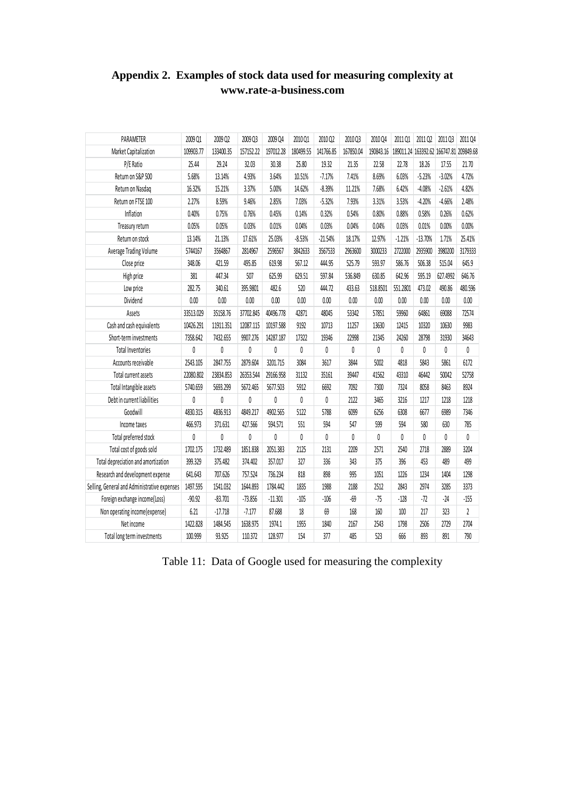| PARAMETER                                    | 2009 01   | 2009 Q2   | 2009 Q3   | 2009 04   | 2010 01   | 2010 02   | 2010 Q3   | 2010 04   | 201101   | 2011 Q <sub>2</sub> | 2011 Q3                                 | 2011 04        |
|----------------------------------------------|-----------|-----------|-----------|-----------|-----------|-----------|-----------|-----------|----------|---------------------|-----------------------------------------|----------------|
| Market Capitalization                        | 109903.77 | 133400.35 | 157152.22 | 197012.28 | 180499.55 | 141766.85 | 167850.04 | 190843.16 |          |                     | 189011.24 163392.62 166747.81 209849.68 |                |
| P/E Ratio                                    | 25.44     | 29.24     | 32.03     | 30.38     | 25.80     | 19.32     | 21.35     | 22.58     | 22.78    | 18.26               | 17.55                                   | 21.70          |
| Return on S&P 500                            | 5.68%     | 13.14%    | 4.93%     | 3.64%     | 10.51%    | $-7.17%$  | 7.41%     | 8.69%     | 6.03%    | $-5.23%$            | $-3.02%$                                | 4.72%          |
| Return on Nasdag                             | 16.32%    | 15.21%    | 3.37%     | 5.00%     | 14.62%    | $-8.39%$  | 11.21%    | 7.68%     | 6.42%    | $-4.08%$            | $-2.61%$                                | 4.82%          |
| Return on FTSE 100                           | 2.27%     | 8.59%     | 9.46%     | 2.85%     | 7.03%     | $-5.32%$  | 7.93%     | 3.31%     | 3.53%    | $-4.20%$            | $-4.66%$                                | 2.48%          |
| Inflation                                    | 0.40%     | 0.75%     | 0.76%     | 0.45%     | 0.14%     | 0.32%     | 0.54%     | 0.80%     | 0.88%    | 0.58%               | 0.26%                                   | 0.62%          |
| Treasury return                              | 0.05%     | 0.05%     | 0.03%     | 0.01%     | 0.04%     | 0.03%     | 0.04%     | 0.04%     | 0.03%    | 0.01%               | 0.00%                                   | 0.00%          |
| Return on stock                              | 13.14%    | 21.13%    | 17.61%    | 25.03%    | $-8.53%$  | $-21.54%$ | 18.17%    | 12.97%    | $-1.21%$ | $-13.70%$           | 1.71%                                   | 25.41%         |
| Average Trading Volume                       | 5744167   | 3564867   | 2814967   | 2596567   | 3842633   | 3567533   | 2963600   | 3000233   | 2722000  | 2935900             | 3980200                                 | 3179333        |
| Close price                                  | 348.06    | 421.59    | 495.85    | 619.98    | 567.12    | 444.95    | 525.79    | 593.97    | 586.76   | 506.38              | 515.04                                  | 645.9          |
| High price                                   | 381       | 447.34    | 507       | 625.99    | 629.51    | 597.84    | 536.849   | 630.85    | 642.96   | 595.19              | 627.4992                                | 646.76         |
| Low price                                    | 282.75    | 340.61    | 395.9801  | 482.6     | 520       | 444.72    | 433.63    | 518.8501  | 551.2801 | 473.02              | 490.86                                  | 480.596        |
| Dividend                                     | 0.00      | 0.00      | 0.00      | 0.00      | 0.00      | 0.00      | 0.00      | 0.00      | 0.00     | 0.00                | 0.00                                    | $0.00\,$       |
| Assets                                       | 33513.029 | 35158.76  | 37702.845 | 40496.778 | 42871     | 48045     | 53342     | 57851     | 59960    | 64861               | 69088                                   | 72574          |
| Cash and cash equivalents                    | 10426.291 | 11911.351 | 12087.115 | 10197.588 | 9192      | 10713     | 11257     | 13630     | 12415    | 10320               | 10630                                   | 9983           |
| Short-term investments                       | 7358.642  | 7432.655  | 9907.276  | 14287.187 | 17322     | 19346     | 22998     | 21345     | 24260    | 28798               | 31930                                   | 34643          |
| <b>Total Inventories</b>                     | 0         | 0         | 0         | 0         | 0         | 0         | 0         | 0         | 0        | 0                   | 0                                       | 0              |
| Accounts receivable                          | 2543.105  | 2847.755  | 2879.604  | 3201.715  | 3084      | 3617      | 3844      | 5002      | 4818     | 5843                | 5861                                    | 6172           |
| Total current assets                         | 22080.802 | 23834.853 | 26353.544 | 29166.958 | 31132     | 35161     | 39447     | 41562     | 43310    | 46442               | 50042                                   | 52758          |
| Total Intangible assets                      | 5740.659  | 5693.299  | 5672.465  | 5677.503  | 5912      | 6692      | 7092      | 7300      | 7324     | 8058                | 8463                                    | 8924           |
| Debt in current liabilities                  | 0         | 0         | 0         | 0         | 0         | 0         | 2122      | 3465      | 3216     | 1217                | 1218                                    | 1218           |
| Goodwill                                     | 4830.315  | 4836.913  | 4849.217  | 4902.565  | 5122      | 5788      | 6099      | 6256      | 6308     | 6677                | 6989                                    | 7346           |
| Income taxes                                 | 466.973   | 371.631   | 427.566   | 594.571   | 551       | 594       | 547       | 599       | 594      | 580                 | 630                                     | 785            |
| Total preferred stock                        | 0         | 0         | 0         | 0         | 0         | 0         | 0         | 0         | 0        | 0                   | 0                                       | 0              |
| Total cost of goods sold                     | 1702.175  | 1732.489  | 1851.838  | 2051.383  | 2125      | 2131      | 2209      | 2571      | 2540     | 2718                | 2889                                    | 3204           |
| Total depreciation and amortization          | 399.329   | 375.482   | 374.402   | 357.017   | 327       | 336       | 343       | 375       | 396      | 453                 | 489                                     | 499            |
| Research and development expense             | 641.643   | 707.626   | 757.524   | 736.234   | 818       | 898       | 995       | 1051      | 1226     | 1234                | 1404                                    | 1298           |
| Selling, General and Administrative expenses | 1497.595  | 1541.032  | 1644.893  | 1784.442  | 1835      | 1988      | 2188      | 2512      | 2843     | 2974                | 3285                                    | 3373           |
| Foreign exchange income(Loss)                | $-90.92$  | $-83.701$ | $-73.856$ | $-11.301$ | $-105$    | $-106$    | $-69$     | $-75$     | $-128$   | $-72$               | $-24$                                   | $-155$         |
| Non operating income(expense)                | 6.21      | $-17.718$ | $-7.177$  | 87.688    | 18        | 69        | 168       | 160       | 100      | 217                 | 323                                     | $\overline{2}$ |
| Net income                                   | 1422.828  | 1484.545  | 1638.975  | 1974.1    | 1955      | 1840      | 2167      | 2543      | 1798     | 2506                | 2729                                    | 2704           |
| Total long term investments                  | 100.999   | 93.925    | 110.372   | 128.977   | 154       | 377       | 485       | 523       | 666      | 893                 | 891                                     | 790            |

# **Appendix 2. Examples of stock data used for measuring complexity at www.rate-a-business.com**

Table 11: Data of Google used for measuring the complexity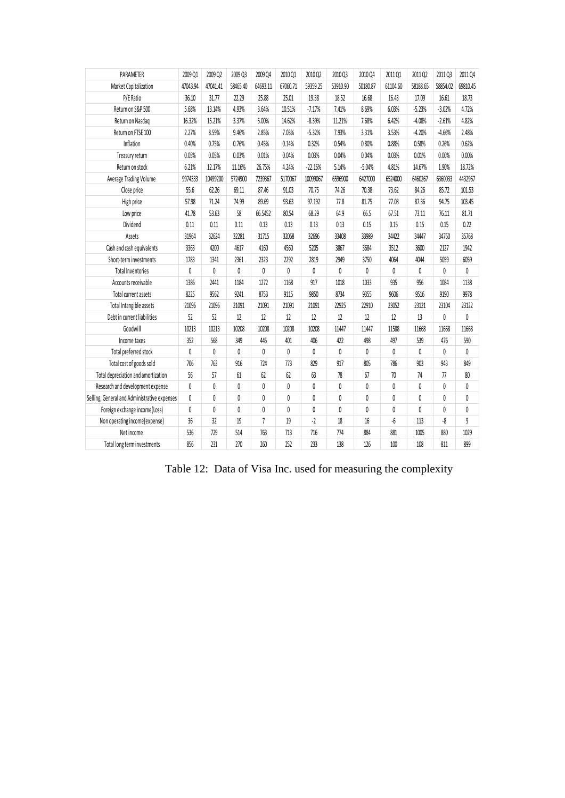| PARAMETER                                    | 2009 Q1  | 2009 Q2  | 2009 Q3  | 2009 Q4        | 2010 Q1  | 2010 Q2   | 2010 Q3  | 2010 Q4      | 2011 Q1  | 2011 Q2  | 2011 Q3      | 2011 Q4        |
|----------------------------------------------|----------|----------|----------|----------------|----------|-----------|----------|--------------|----------|----------|--------------|----------------|
| Market Capitalization                        | 47043.94 | 47041.41 | 58465.40 | 64693.11       | 67060.71 | 59359.25  | 53910.90 | 50180.87     | 61104.60 | 58188.65 | 58854.02     | 69810.45       |
| P/E Ratio                                    | 36.10    | 31.77    | 22.29    | 25.88          | 25.01    | 19.38     | 18.52    | 16.68        | 16.43    | 17.09    | 16.61        | 18.73          |
| Return on S&P 500                            | 5.68%    | 13.14%   | 4.93%    | 3.64%          | 10.51%   | $-7.17%$  | 7.41%    | 8.69%        | 6.03%    | $-5.23%$ | $-3.02%$     | 4.72%          |
| Return on Nasdaq                             | 16.32%   | 15.21%   | 3.37%    | 5.00%          | 14.62%   | $-8.39%$  | 11.21%   | 7.68%        | 6.42%    | $-4.08%$ | $-2.61%$     | 4.82%          |
| Return on FTSE 100                           | 2.27%    | 8.59%    | 9.46%    | 2.85%          | 7.03%    | $-5.32%$  | 7.93%    | 3.31%        | 3.53%    | $-4.20%$ | $-4.66%$     | 2.48%          |
| Inflation                                    | 0.40%    | 0.75%    | 0.76%    | 0.45%          | 0.14%    | 0.32%     | 0.54%    | 0.80%        | 0.88%    | 0.58%    | 0.26%        | 0.62%          |
| Treasury return                              | 0.05%    | 0.05%    | 0.03%    | 0.01%          | 0.04%    | 0.03%     | 0.04%    | 0.04%        | 0.03%    | 0.01%    | 0.00%        | 0.00%          |
| Return on stock                              | 6.21%    | 12.17%   | 11.16%   | 26.75%         | 4.24%    | $-22.16%$ | 5.14%    | $-5.04%$     | 4.81%    | 14.67%   | 1.90%        | 18.72%         |
| Average Trading Volume                       | 9974333  | 10499200 | 5724900  | 7239367        | 5170067  | 10099067  | 6596900  | 6427000      | 6524000  | 6460267  | 6360033      | 4432967        |
| Close price                                  | 55.6     | 62.26    | 69.11    | 87.46          | 91.03    | 70.75     | 74.26    | 70.38        | 73.62    | 84.26    | 85.72        | 101.53         |
| High price                                   | 57.98    | 71.24    | 74.99    | 89.69          | 93.63    | 97.192    | 77.8     | 81.75        | 77.08    | 87.36    | 94.75        | 103.45         |
| Low price                                    | 41.78    | 53.63    | 58       | 66.5452        | 80.54    | 68.29     | 64.9     | 66.5         | 67.51    | 73.11    | 76.11        | 81.71          |
| Dividend                                     | 0.11     | 0.11     | 0.11     | 0.13           | 0.13     | 0.13      | 0.13     | 0.15         | 0.15     | 0.15     | 0.15         | 0.22           |
| Assets                                       | 31964    | 32624    | 32281    | 31715          | 32068    | 32696     | 33408    | 33989        | 34422    | 34447    | 34760        | 35768          |
| Cash and cash equivalents                    | 3363     | 4200     | 4617     | 4160           | 4560     | 5205      | 3867     | 3684         | 3512     | 3600     | 2127         | 1942           |
| Short-term investments                       | 1783     | 1341     | 2361     | 2323           | 2292     | 2819      | 2949     | 3750         | 4064     | 4044     | 5059         | 6059           |
| <b>Total Inventories</b>                     | 0        | 0        | 0        | $\mathbf{0}$   | 0        | 0         | 0        | $\mathbf{0}$ | 0        | 0        | 0            | 0              |
| Accounts receivable                          | 1386     | 2441     | 1184     | 1272           | 1168     | 917       | 1018     | 1033         | 935      | 956      | 1084         | 1138           |
| Total current assets                         | 8225     | 9562     | 9241     | 8753           | 9115     | 9850      | 8734     | 9355         | 9606     | 9516     | 9190         | 9978           |
| Total Intangible assets                      | 21096    | 21096    | 21091    | 21091          | 21091    | 21091     | 22925    | 22910        | 23052    | 23121    | 23104        | 23122          |
| Debt in current liabilities                  | 52       | 52       | 12       | 12             | 12       | 12        | 12       | 12           | 12       | 13       | $\mathbf{0}$ | $\mathbf{0}$   |
| Goodwill                                     | 10213    | 10213    | 10208    | 10208          | 10208    | 10208     | 11447    | 11447        | 11588    | 11668    | 11668        | 11668          |
| Income taxes                                 | 352      | 568      | 349      | 445            | 401      | 406       | 422      | 498          | 497      | 539      | 476          | 590            |
| Total preferred stock                        | 0        | 0        | 0        | 0              | 0        | 0         | 0        | $\mathbf{0}$ | 0        | 0        | 0            | $\mathbf{0}$   |
| Total cost of goods sold                     | 706      | 763      | 916      | 724            | 773      | 829       | 917      | 805          | 786      | 903      | 943          | 849            |
| Total depreciation and amortization          | 56       | 57       | 61       | 62             | 62       | 63        | 78       | 67           | 70       | 74       | 77           | 80             |
| Research and development expense             | 0        | 0        | 0        | 0              | 0        | 0         | 0        | 0            | 0        | 0        | 0            | 0              |
| Selling, General and Administrative expenses | 0        | 0        | 0        | 0              | 0        | 0         | 0        | 0            | 0        | 0        | 0            | 0              |
| Foreign exchange income(Loss)                | 0        | 0        | 0        | 0              | 0        | 0         | 0        | $\theta$     | 0        | 0        | 0            | $\theta$       |
| Non operating income(expense)                | 36       | 32       | 19       | $\overline{1}$ | 19       | $-2$      | 18       | 16           | -6       | 113      | -8           | $\overline{9}$ |
| Net income                                   | 536      | 729      | 514      | 763            | 713      | 716       | 774      | 884          | 881      | 1005     | 880          | 1029           |
| Total long term investments                  | 856      | 231      | 270      | 260            | 252      | 233       | 138      | 126          | 100      | 108      | 811          | 899            |

Table 12: Data of Visa Inc. used for measuring the complexity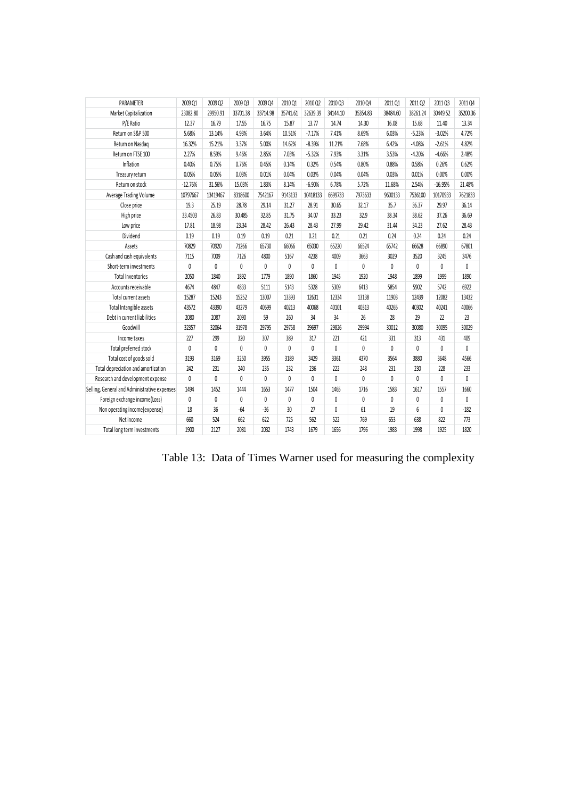| PARAMETER                                    | 2009 Q1      | 2009 Q2  | 2009 Q3      | 2009 Q4  | 2010 Q1  | 2010 Q2      | 2010 Q3  | 2010 Q4      | 2011 Q1  | 2011 Q2      | 2011 Q3   | 2011 Q4  |
|----------------------------------------------|--------------|----------|--------------|----------|----------|--------------|----------|--------------|----------|--------------|-----------|----------|
| Market Capitalization                        | 23082.80     | 29950.91 | 33701.38     | 33714.98 | 35741.61 | 32639.39     | 34144.10 | 35354.83     | 38484.60 | 38261.24     | 30449.52  | 35200.36 |
| P/E Ratio                                    | 12.37        | 16.79    | 17.55        | 16.75    | 15.87    | 13.77        | 14.74    | 14.30        | 16.08    | 15.68        | 11.40     | 13.34    |
| Return on S&P 500                            | 5.68%        | 13.14%   | 4.93%        | 3.64%    | 10.51%   | $-7.17%$     | 7.41%    | 8.69%        | 6.03%    | $-5.23%$     | $-3.02%$  | 4.72%    |
| Return on Nasdaq                             | 16.32%       | 15.21%   | 3.37%        | 5.00%    | 14.62%   | $-8.39%$     | 11.21%   | 7.68%        | 6.42%    | $-4.08%$     | $-2.61%$  | 4.82%    |
| Return on FTSE 100                           | 2.27%        | 8.59%    | 9.46%        | 2.85%    | 7.03%    | $-5.32%$     | 7.93%    | 3.31%        | 3.53%    | $-4.20%$     | $-4.66%$  | 2.48%    |
| Inflation                                    | 0.40%        | 0.75%    | 0.76%        | 0.45%    | 0.14%    | 0.32%        | 0.54%    | 0.80%        | 0.88%    | 0.58%        | 0.26%     | 0.62%    |
| Treasury return                              | 0.05%        | 0.05%    | 0.03%        | 0.01%    | 0.04%    | 0.03%        | 0.04%    | 0.04%        | 0.03%    | 0.01%        | 0.00%     | 0.00%    |
| Return on stock                              | $-12.76%$    | 31.56%   | 15.03%       | 1.83%    | 8.14%    | $-6.90%$     | 6.78%    | 5.72%        | 11.68%   | 2.54%        | $-16.95%$ | 21.48%   |
| Average Trading Volume                       | 10797667     | 13419467 | 8318600      | 7542167  | 9143133  | 10418133     | 6699733  | 7973633      | 9600133  | 7536100      | 10170933  | 7621833  |
| Close price                                  | 19.3         | 25.19    | 28.78        | 29.14    | 31.27    | 28.91        | 30.65    | 32.17        | 35.7     | 36.37        | 29.97     | 36.14    |
| High price                                   | 33.4503      | 26.83    | 30.485       | 32.85    | 31.75    | 34.07        | 33.23    | 32.9         | 38.34    | 38.62        | 37.26     | 36.69    |
| Low price                                    | 17.81        | 18.98    | 23.34        | 28.42    | 26.43    | 28.43        | 27.99    | 29.42        | 31.44    | 34.23        | 27.62     | 28.43    |
| Dividend                                     | 0.19         | 0.19     | 0.19         | 0.19     | 0.21     | 0.21         | 0.21     | 0.21         | 0.24     | 0.24         | 0.24      | 0.24     |
| Assets                                       | 70829        | 70920    | 71266        | 65730    | 66066    | 65030        | 65220    | 66524        | 65742    | 66628        | 66890     | 67801    |
| Cash and cash equivalents                    | 7115         | 7009     | 7126         | 4800     | 5167     | 4238         | 4009     | 3663         | 3029     | 3520         | 3245      | 3476     |
| Short-term investments                       | $\mathbf{0}$ | 0        | $\mathbf{0}$ | 0        | 0        | $\mathbf{0}$ | $\theta$ | $\mathbf{0}$ | 0        | 0            | 0         | 0        |
| <b>Total Inventories</b>                     | 2050         | 1840     | 1892         | 1779     | 1890     | 1860         | 1945     | 1920         | 1948     | 1899         | 1999      | 1890     |
| Accounts receivable                          | 4674         | 4847     | 4833         | 5111     | 5143     | 5328         | 5309     | 6413         | 5854     | 5902         | 5742      | 6922     |
| Total current assets                         | 15287        | 15243    | 15252        | 13007    | 13393    | 12631        | 12334    | 13138        | 11903    | 12439        | 12082     | 13432    |
| Total Intangible assets                      | 43572        | 43390    | 43279        | 40699    | 40213    | 40068        | 40101    | 40313        | 40265    | 40302        | 40241     | 40066    |
| Debt in current liabilities                  | 2080         | 2087     | 2090         | 59       | 260      | 34           | 34       | 26           | 28       | 29           | 22        | 23       |
| Goodwill                                     | 32357        | 32064    | 31978        | 29795    | 29758    | 29697        | 29826    | 29994        | 30012    | 30080        | 30095     | 30029    |
| Income taxes                                 | 227          | 299      | 320          | 307      | 389      | 317          | 221      | 421          | 331      | 313          | 431       | 409      |
| Total preferred stock                        | 0            | 0        | 0            | 0        | 0        | 0            | 0        | 0            | 0        | 0            | 0         | 0        |
| Total cost of goods sold                     | 3193         | 3169     | 3250         | 3955     | 3189     | 3429         | 3361     | 4370         | 3564     | 3880         | 3648      | 4566     |
| Total depreciation and amortization          | 242          | 231      | 240          | 235      | 232      | 236          | 222      | 248          | 231      | 230          | 228       | 233      |
| Research and development expense             | 0            | 0        | 0            | 0        | 0        | 0            | 0        | 0            | 0        | 0            | 0         | 0        |
| Selling, General and Administrative expenses | 1494         | 1452     | 1444         | 1653     | 1477     | 1504         | 1465     | 1716         | 1583     | 1617         | 1557      | 1660     |
| Foreign exchange income(Loss)                | 0            | 0        | $\mathbf{0}$ | 0        | 0        | $\mathbf{0}$ | 0        | $\mathbf{0}$ | 0        | $\mathbf{0}$ | 0         | 0        |
| Non operating income(expense)                | 18           | 36       | $-64$        | $-36$    | 30       | 27           | 0        | $61\,$       | 19       | 6            | $\pmb{0}$ | $-182$   |
| Net income                                   | 660          | 524      | 662          | 622      | 725      | 562          | 522      | 769          | 653      | 638          | 822       | 773      |
| Total long term investments                  | 1900         | 2127     | 2081         | 2032     | 1743     | 1679         | 1656     | 1796         | 1983     | 1998         | 1925      | 1820     |
|                                              |              |          |              |          |          |              |          |              |          |              |           |          |

|  | Table 13: Data of Times Warner used for measuring the complexity |  |
|--|------------------------------------------------------------------|--|
|  |                                                                  |  |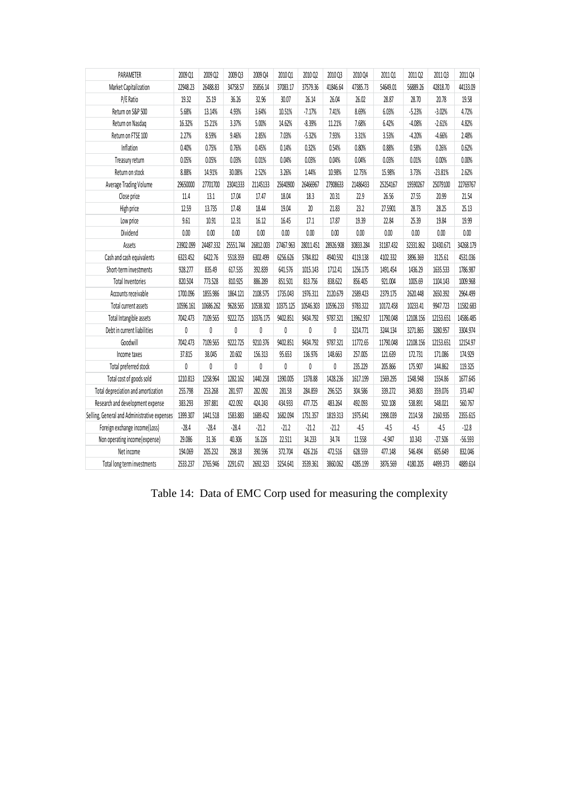| PARAMETER                                    | 2009 Q1   | 2009 Q2   | 2009 Q3   | 2009 Q4   | 2010 Q1   | 2010 Q2   | 2010Q3    | 2010 Q4   | 2011 Q1   | 2011 Q2   | 2011 Q3   | 2011 Q4   |
|----------------------------------------------|-----------|-----------|-----------|-----------|-----------|-----------|-----------|-----------|-----------|-----------|-----------|-----------|
| Market Capitalization                        | 22948.23  | 26488.83  | 34758.57  | 35856.14  | 37083.17  | 37579.36  | 41846.64  | 47385.73  | 54649.01  | 56889.26  | 42818.70  | 44133.09  |
| P/E Ratio                                    | 19.32     | 25.19     | 36.26     | 32.96     | 30.07     | 26.14     | 26.04     | 26.02     | 28.87     | 28.70     | 20.78     | 19.58     |
| Return on S&P 500                            | 5.68%     | 13.14%    | 4.93%     | 3.64%     | 10.51%    | $-7.17%$  | 7.41%     | 8.69%     | 6.03%     | $-5.23%$  | $-3.02%$  | 4.72%     |
| Return on Nasdaq                             | 16.32%    | 15.21%    | 3.37%     | 5.00%     | 14.62%    | $-8.39%$  | 11.21%    | 7.68%     | 6.42%     | $-4.08%$  | $-2.61%$  | 4.82%     |
| Return on FTSE 100                           | 2.27%     | 8.59%     | 9.46%     | 2.85%     | 7.03%     | $-5.32%$  | 7.93%     | 3.31%     | 3.53%     | $-4.20%$  | $-4.66%$  | 2.48%     |
| Inflation                                    | 0.40%     | 0.75%     | 0.76%     | 0.45%     | 0.14%     | 0.32%     | 0.54%     | 0.80%     | 0.88%     | 0.58%     | 0.26%     | 0.62%     |
| Treasury return                              | 0.05%     | 0.05%     | 0.03%     | 0.01%     | 0.04%     | 0.03%     | 0.04%     | 0.04%     | 0.03%     | 0.01%     | 0.00%     | 0.00%     |
| Return on stock                              | 8.88%     | 14.91%    | 30.08%    | 2.52%     | 3.26%     | 1.44%     | 10.98%    | 12.75%    | 15.98%    | 3.73%     | $-23.81%$ | 2.62%     |
| Average Trading Volume                       | 29650000  | 27701700  | 23041333  | 21145133  | 25640900  | 26466967  | 27908633  | 21486433  | 25254167  | 19590267  | 25079100  | 22769767  |
| Close price                                  | 11.4      | 13.1      | 17.04     | 17.47     | 18.04     | 18.3      | 20.31     | 22.9      | 26.56     | 27.55     | 20.99     | 21.54     |
| High price                                   | 12.59     | 13.735    | 17.48     | 18.44     | 19.04     | $20\,$    | 21.83     | 23.2      | 27.5901   | 28.73     | 28.25     | 25.13     |
| Low price                                    | 9.61      | 10.91     | 12.31     | 16.12     | 16.45     | 17.1      | 17.87     | 19.39     | 22.84     | 25.39     | 19.84     | 19.99     |
| Dividend                                     | 0.00      | 0.00      | $0.00\,$  | $0.00\,$  | 0.00      | 0.00      | $0.00\,$  | $0.00\,$  | 0.00      | $0.00\,$  | 0.00      | 0.00      |
| Assets                                       | 23902.099 | 24487.332 | 25551.744 | 26812.003 | 27467.963 | 28011.451 | 28926.908 | 30833.284 | 31187.432 | 32331.862 | 32430.671 | 34268.179 |
| Cash and cash equivalents                    | 6323.452  | 6422.76   | 5518.359  | 6302.499  | 6256.626  | 5784.812  | 4940.592  | 4119.138  | 4102.332  | 3896.369  | 3125.61   | 4531.036  |
| Short-term investments                       | 928.277   | 835.49    | 617.535   | 392.839   | 641.576   | 1015.143  | 1712.41   | 1256.175  | 1491.454  | 1436.29   | 1635.533  | 1786.987  |
| <b>Total Inventories</b>                     | 820.504   | 773.528   | 810.925   | 886.289   | 851.501   | 813.756   | 838.622   | 856.405   | 921.004   | 1005.69   | 1104.143  | 1009.968  |
| Accounts receivable                          | 1700.096  | 1855.986  | 1864.121  | 2108.575  | 1735.043  | 1976.311  | 2120.679  | 2589.423  | 2379.175  | 2620.448  | 2650.392  | 2964.499  |
| Total current assets                         | 10596.161 | 10686.262 | 9628.565  | 10538.302 | 10375.125 | 10546.303 | 10596.233 | 9783.322  | 10172.458 | 10233.41  | 9947.723  | 11582.683 |
| Total Intangible assets                      | 7042.473  | 7109.565  | 9222.725  | 10376.175 | 9402.851  | 9434.792  | 9787.321  | 13962.917 | 11790.048 | 12108.156 | 12153.651 | 14586.485 |
| Debt in current liabilities                  | 0         | 0         | 0         | 0         | 0         | 0         | 0         | 3214.771  | 3244.134  | 3271.865  | 3280.957  | 3304.974  |
| Goodwill                                     | 7042.473  | 7109.565  | 9222.725  | 9210.376  | 9402.851  | 9434.792  | 9787.321  | 11772.65  | 11790.048 | 12108.156 | 12153.651 | 12154.97  |
| Income taxes                                 | 37.815    | 38.045    | 20.602    | 156.313   | 95.653    | 136.976   | 148.663   | 257.005   | 121.639   | 172.731   | 171.086   | 174.929   |
| Total preferred stock                        | 0         | $\pmb{0}$ | 0         | 0         | 0         | 0         | $\pmb{0}$ | 235.229   | 205.866   | 175.907   | 144.862   | 119.325   |
| Total cost of goods sold                     | 1210.813  | 1258.964  | 1282.162  | 1440.258  | 1390.005  | 1378.88   | 1428.236  | 1617.199  | 1569.295  | 1548.948  | 1554.86   | 1677.645  |
| Total depreciation and amortization          | 255.798   | 253.268   | 281.977   | 282.092   | 281.58    | 284.859   | 296.525   | 304.586   | 339.272   | 349.803   | 359.076   | 373.447   |
| Research and development expense             | 383.293   | 397.881   | 422.092   | 424.243   | 434.933   | 477.725   | 483,264   | 492.093   | 502.108   | 538.891   | 548.021   | 560.767   |
| Selling, General and Administrative expenses | 1399.307  | 1441.518  | 1583.883  | 1689.452  | 1682.094  | 1751.357  | 1819.313  | 1975.641  | 1998.039  | 2114.58   | 2160.935  | 2355.615  |
| Foreign exchange income(Loss)                | $-28.4$   | $-28.4$   | $-28.4$   | $-21.2$   | $-21.2$   | $-21.2$   | $-21.2$   | $-4.5$    | $-4.5$    | $-4.5$    | $-4.5$    | $-12.8$   |
| Non operating income(expense)                | 29.086    | 31.36     | 40.306    | 16.226    | 22.511    | 34.233    | 34.74     | 11.558    | $-4.947$  | 10.343    | $-27.506$ | $-56.593$ |
| Net income                                   | 194.069   | 205.232   | 298.18    | 390.596   | 372.704   | 426.216   | 472.516   | 628.559   | 477.148   | 546.494   | 605.649   | 832.046   |
| Total long term investments                  | 2533.237  | 2765.946  | 2291.672  | 2692.323  | 3254.641  | 3539.361  | 3860.062  | 4285.199  | 3876.569  | 4180.205  | 4499.373  | 4889.614  |

Table 14: Data of EMC Corp used for measuring the complexity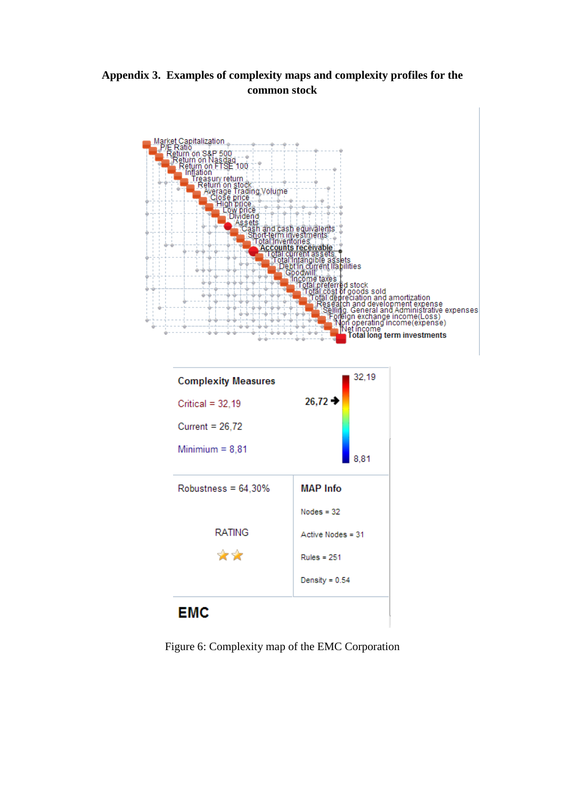**Appendix 3. Examples of complexity maps and complexity profiles for the common stock**





Figure 6: Complexity map of the EMC Corporation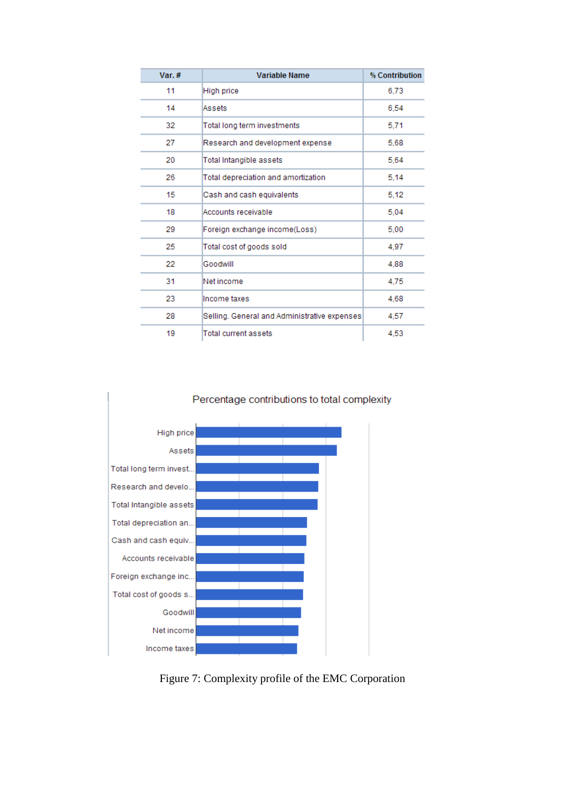| Var. $#$ | <b>Variable Name</b>                         | % Contribution |
|----------|----------------------------------------------|----------------|
| 11       | High price                                   | 6,73           |
| 14       | Assets                                       | 6.54           |
| 32       | Total long term investments                  | 5,71           |
| 27       | Research and development expense             | 5,68           |
| 20       | Total Intangible assets                      | 5.64           |
| 26       | Total depreciation and amortization          | 5.14           |
| 15       | Cash and cash equivalents                    | 5.12           |
| 18       | Accounts receivable                          | 5,04           |
| 29       | Foreign exchange income(Loss)                | 5,00           |
| 25       | Total cost of goods sold                     | 4,97           |
| 22       | Goodwill                                     | 4,88           |
| 31       | Net income                                   | 4,75           |
| 23       | Income taxes                                 | 4,68           |
| 28       | Selling. General and Administrative expenses | 4,57           |
| 19       | Total current assets                         | 4.53           |



Figure 7: Complexity profile of the EMC Corporation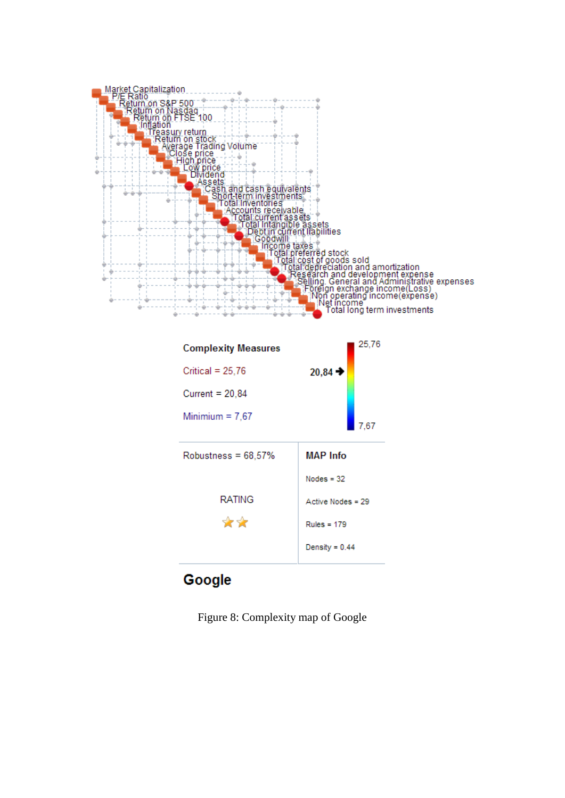

| <b>Complexity Measures</b> | 25,76               |  |  |
|----------------------------|---------------------|--|--|
| Critical = $25,76$         | $20,84 \rightarrow$ |  |  |
| Current = $20,84$          |                     |  |  |
| Minimium = $7,67$          | 7.67                |  |  |
| Robustness = $68,57\%$     | <b>MAP</b> Info     |  |  |
|                            | $Nodes = 32$        |  |  |
| RATING                     | Active Nodes = 29   |  |  |
| ✿✿                         | Rules = $179$       |  |  |
|                            | Density = $0.44$    |  |  |

# Google

Figure 8: Complexity map of Google